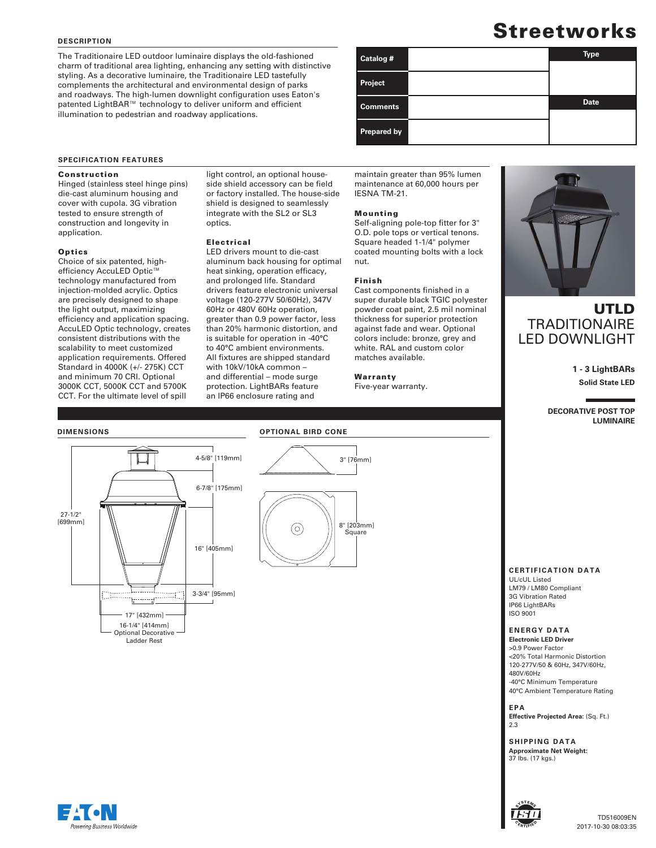### **DESCRIPTION**

The Traditionaire LED outdoor luminaire displays the old-fashioned charm of traditional area lighting, enhancing any setting with distinctive styling. As a decorative luminaire, the Traditionaire LED tastefully complements the architectural and environmental design of parks and roadways. The high-lumen downlight configuration uses Eaton's patented LightBAR™ technology to deliver uniform and efficient illumination to pedestrian and roadway applications.

# **Streetworks**

| Catalog #          | <b>Type</b> |
|--------------------|-------------|
| <b>Project</b>     |             |
| <b>Comments</b>    | <b>Date</b> |
| <b>Prepared by</b> |             |

### **SPECIFICATION FEATURES**

### Construction

Hinged (stainless steel hinge pins) die-cast aluminum housing and cover with cupola. 3G vibration tested to ensure strength of construction and longevity in application.

### **Optics**

Choice of six patented, highefficiency AccuLED Optic™ technology manufactured from injection-molded acrylic. Optics are precisely designed to shape the light output, maximizing efficiency and application spacing. AccuLED Optic technology, creates consistent distributions with the scalability to meet customized application requirements. Offered Standard in 4000K (+/- 275K) CCT and minimum 70 CRI. Optional 3000K CCT, 5000K CCT and 5700K CCT. For the ultimate level of spill

light control, an optional houseside shield accessory can be field or factory installed. The house-side shield is designed to seamlessly integrate with the SL2 or SL3 optics.

### Electrical

LED drivers mount to die-cast aluminum back housing for optimal heat sinking, operation efficacy, and prolonged life. Standard drivers feature electronic universal voltage (120-277V 50/60Hz), 347V 60Hz or 480V 60Hz operation, greater than 0.9 power factor, less than 20% harmonic distortion, and is suitable for operation in -40°C to 40°C ambient environments. All fixtures are shipped standard with 10kV/10kA common – and differential – mode surge protection. LightBARs feature an IP66 enclosure rating and

| maintain greater than 95% lumen |
|---------------------------------|
| maintenance at 60,000 hours per |
| IESNA TM-21.                    |

### Mounting

Self-aligning pole-top fitter for 3" O.D. pole tops or vertical tenons. Square headed 1-1/4" polymer coated mounting bolts with a lock nut.

### Finish

Cast components finished in a super durable black TGIC polyester powder coat paint, 2.5 mil nominal thickness for superior protection against fade and wear. Optional colors include: bronze, grey and white. RAL and custom color matches available.

Warranty

Five-year warranty.



### UTLD **TRADITIONAIRE** LED DOWNLIGHT

**1 - 3 LightBARs Solid State LED**

**DECORATIVE POST TOP LUMINAIRE**

## **DIMENSIONS**



### **OPTIONAL BIRD CONE**



### **CERTIFICATION DATA**

UL/cUL Listed LM79 / LM80 Compliant 3G Vibration Rated IP66 LightBARs ISO 9001

### **ENERGY DATA**

**Electronic LED Driver** >0.9 Power Factor <20% Total Harmonic Distortion 120-277V/50 & 60Hz, 347V/60Hz, 480V/60Hz -40°C Minimum Temperature 40°C Ambient Temperature Rating

**EPA Effective Projected Area:** (Sq. Ft.) 2.3

**SHIPPING DATA Approximate Net Weight:** 37 lbs. (17 kgs.)